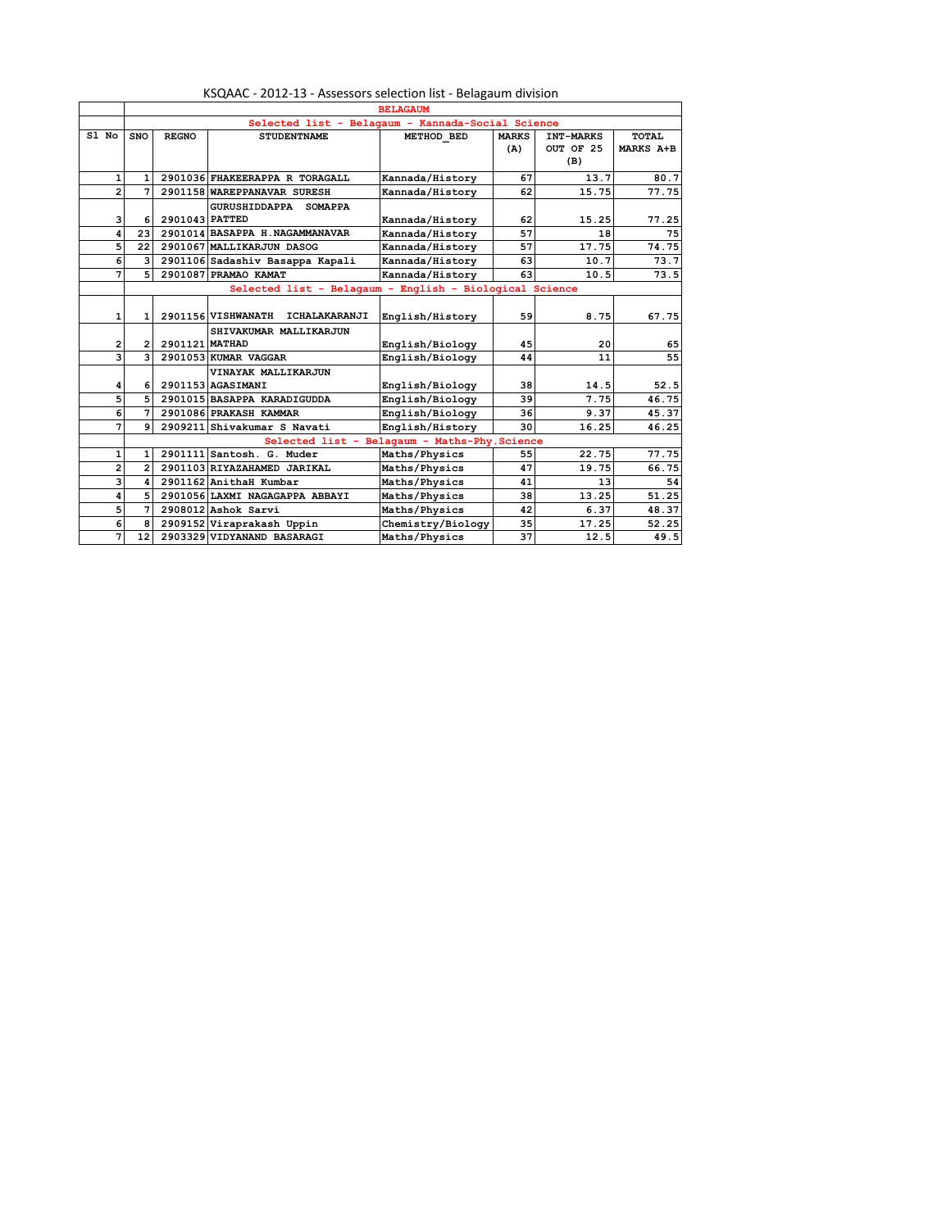|       |                | <b>BELAGAUM</b>                                   |                |                                                         |                                               |              |           |           |  |  |
|-------|----------------|---------------------------------------------------|----------------|---------------------------------------------------------|-----------------------------------------------|--------------|-----------|-----------|--|--|
|       |                | Selected list - Belagaum - Kannada-Social Science |                |                                                         |                                               |              |           |           |  |  |
| S1 No |                | <b>SNO</b>                                        | <b>REGNO</b>   | <b>STUDENTNAME</b>                                      | METHOD BED                                    | <b>MARKS</b> | INT-MARKS | TOTAL     |  |  |
|       |                |                                                   |                |                                                         |                                               | (A)          | OUT OF 25 | MARKS A+B |  |  |
|       |                |                                                   |                |                                                         |                                               |              | (B)       |           |  |  |
|       | $\mathbf{1}$   | $\mathbf{1}$                                      |                | 2901036 FHAKEERAPPA R TORAGALL                          | Kannada/History                               | 67           | 13.7      | 80.7      |  |  |
|       | $\overline{a}$ | 7                                                 |                | 2901158 WAREPPANAVAR SURESH                             | Kannada/History                               | 62           | 15.75     | 77.75     |  |  |
|       |                |                                                   |                | GURUSHIDDAPPA SOMAPPA                                   |                                               |              |           |           |  |  |
|       | з              | 6                                                 | 2901043 PATTED |                                                         | Kannada/History                               | 62           | 15.25     | 77.25     |  |  |
|       | 4              | 23                                                |                | 2901014 BASAPPA H. NAGAMMANAVAR                         | Kannada/History                               | 57           | 18        | 75        |  |  |
|       | 5              | 22                                                |                | 2901067 MALLIKARJUN DASOG                               | Kannada/History                               | 57           | 17.75     | 74.75     |  |  |
|       | 6              | 3                                                 |                | 2901106 Sadashiv Basappa Kapali                         | Kannada/History                               | 63           | 10.7      | 73.7      |  |  |
|       | 7              | 5 <sup>1</sup>                                    |                | 2901087 PRAMAO KAMAT                                    | Kannada/History                               | 63           | 10.5      | 73.5      |  |  |
|       |                |                                                   |                | Selected list - Belagaum - English - Biological Science |                                               |              |           |           |  |  |
|       |                |                                                   |                |                                                         |                                               |              |           |           |  |  |
|       | 1              | $\mathbf{1}$                                      |                | 2901156 VISHWANATH<br>ICHALAKARANJI                     | English/History                               | 59           | 8.75      | 67.75     |  |  |
|       |                |                                                   |                | SHIVAKUMAR MALLIKARJUN                                  |                                               |              |           |           |  |  |
|       | $\overline{2}$ | $\overline{2}$                                    | 2901121 MATHAD |                                                         | English/Biology                               | 45           | 20        | 65        |  |  |
|       | 3              | 3                                                 |                | 2901053 KUMAR VAGGAR                                    | English/Biology                               | 44           | 11        | 55        |  |  |
|       |                |                                                   |                | VINAYAK MALLIKARJUN                                     |                                               |              |           |           |  |  |
|       | 4              | 6                                                 |                | 2901153 AGASIMANI                                       | English/Biology                               | 38           | 14.5      | 52.5      |  |  |
|       | 5              | 5 <sup>1</sup>                                    |                | 2901015 BASAPPA KARADIGUDDA                             | English/Biology                               | 39           | 7.75      | 46.75     |  |  |
|       | 6              | 7                                                 |                | 2901086 PRAKASH KAMMAR                                  | English/Biology                               | 36           | 9.37      | 45.37     |  |  |
|       | 7              | 9                                                 |                | 2909211 Shivakumar S Navati                             | English/History                               | 30           | 16.25     | 46.25     |  |  |
|       |                |                                                   |                |                                                         | Selected list - Belagaum - Maths-Phy. Science |              |           |           |  |  |
|       | 1              | $\mathbf{1}$                                      |                | 2901111 Santosh. G. Muder                               | Maths/Physics                                 | 55           | 22.75     | 77.75     |  |  |
|       | $\overline{a}$ | $\overline{2}$                                    |                | 2901103 RIYAZAHAMED JARIKAL                             | Maths/Physics                                 | 47           | 19.75     | 66.75     |  |  |
|       | 3              | 4                                                 |                | 2901162 AnithaH Kumbar                                  | Maths/Physics                                 | 41           | 13        | 54        |  |  |
|       | 4              | 5                                                 |                | 2901056 LAXMI NAGAGAPPA ABBAYI                          | Maths/Physics                                 | 38           | 13.25     | 51.25     |  |  |
|       | 5              | 7                                                 |                | 2908012 Ashok Sarvi                                     | Maths/Physics                                 | 42           | 6.37      | 48.37     |  |  |
|       | 6              | 8                                                 |                | 2909152 Viraprakash Uppin                               | Chemistry/Biology                             | 35           | 17.25     | 52.25     |  |  |
|       | 7              | 12                                                |                | 2903329 VIDYANAND BASARAGI                              | Maths/Physics                                 | 37           | 12.5      | 49.5      |  |  |

## KSQAAC - 2012-13 - Assessors selection list - Belagaum division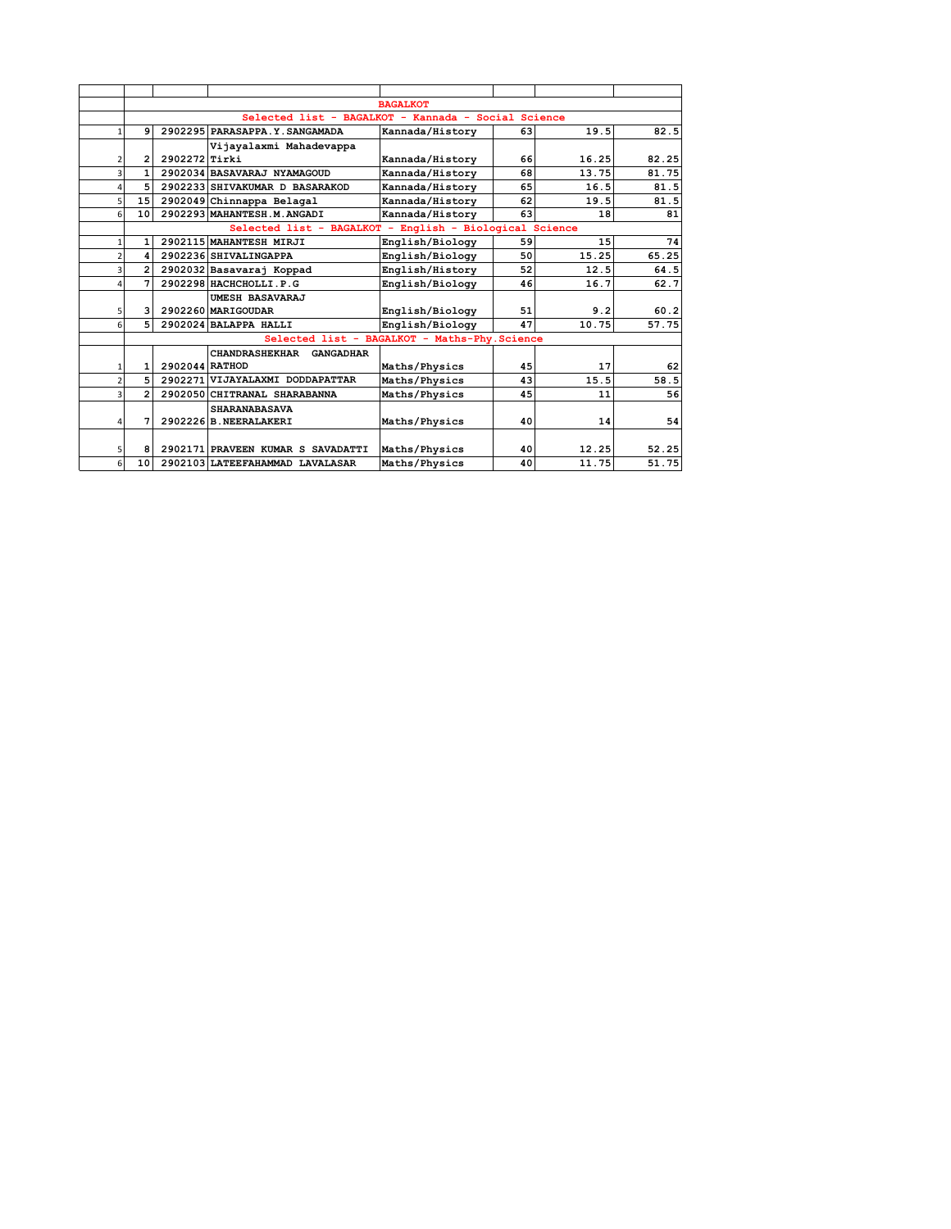|                | <b>BAGALKOT</b>                                     |                |                                                         |                                               |    |       |       |  |  |
|----------------|-----------------------------------------------------|----------------|---------------------------------------------------------|-----------------------------------------------|----|-------|-------|--|--|
|                | Selected list - BAGALKOT - Kannada - Social Science |                |                                                         |                                               |    |       |       |  |  |
| $\mathbf{1}$   | q                                                   |                | 2902295 PARASAPPA.Y. SANGAMADA                          | Kannada/History                               | 63 | 19.5  | 82.5  |  |  |
|                |                                                     |                | Vijayalaxmi Mahadevappa                                 |                                               |    |       |       |  |  |
| 2              | 2                                                   | 2902272 Tirki  |                                                         | Kannada/History                               | 66 | 16.25 | 82.25 |  |  |
| 3              | $\mathbf{1}$                                        |                | 2902034 BASAVARAJ NYAMAGOUD                             | Kannada/History                               | 68 | 13.75 | 81.75 |  |  |
| 4              | 5                                                   |                | 2902233 SHIVAKUMAR D BASARAKOD                          | Kannada/History                               | 65 | 16.5  | 81.5  |  |  |
| 5              | 15                                                  |                | 2902049 Chinnappa Belagal                               | Kannada/History                               | 62 | 19.5  | 81.5  |  |  |
| 6              | 10 <sup>1</sup>                                     |                | 2902293 MAHANTESH.M.ANGADI                              | Kannada/History                               | 63 | 18    | 81    |  |  |
|                |                                                     |                | Selected list - BAGALKOT - English - Biological Science |                                               |    |       |       |  |  |
| 1              | 1                                                   |                | 2902115 MAHANTESH MIRJI                                 | English/Biology                               | 59 | 15    | 74    |  |  |
| $\overline{2}$ | 4                                                   |                | 2902236 SHIVALINGAPPA                                   | English/Biology                               | 50 | 15.25 | 65.25 |  |  |
| 3              | $\overline{2}$                                      |                | 2902032 Basavaraj Koppad                                | English/History                               | 52 | 12.5  | 64.5  |  |  |
| 4              | 7                                                   |                | 2902298 HACHCHOLLI.P.G                                  | English/Biology                               | 46 | 16.7  | 62.7  |  |  |
|                |                                                     |                | UMESH BASAVARAJ                                         |                                               |    |       |       |  |  |
| 5 <sub>l</sub> | $\overline{\mathbf{3}}$                             |                | 2902260 MARIGOUDAR                                      | English/Biology                               | 51 | 9.2   | 60.2  |  |  |
| 6              | 5 <sup>1</sup>                                      |                | 2902024 BALAPPA HALLI                                   | English/Biology                               | 47 | 10.75 | 57.75 |  |  |
|                |                                                     |                |                                                         | Selected list - BAGALKOT - Maths-Phy. Science |    |       |       |  |  |
|                |                                                     |                | CHANDRASHEKHAR GANGADHAR                                |                                               |    |       |       |  |  |
| 1              | 1                                                   | 2902044 RATHOD |                                                         | Maths/Physics                                 | 45 | 17    | 62    |  |  |
| $\overline{2}$ | 5                                                   |                | 2902271 VIJAYALAXMI DODDAPATTAR                         | Maths/Physics                                 | 43 | 15.5  | 58.5  |  |  |
| 3              | $\overline{2}$                                      |                | 2902050 CHITRANAL SHARABANNA                            | Maths/Physics                                 | 45 | 11    | 56    |  |  |
|                |                                                     |                | <b>SHARANABASAVA</b>                                    |                                               |    |       |       |  |  |
| 4              | 7                                                   |                | 2902226 B. NEERALAKERI                                  | Maths/Physics                                 | 40 | 14    | 54    |  |  |
|                |                                                     |                |                                                         |                                               |    |       |       |  |  |
| 5              | 8                                                   |                | 2902171 PRAVEEN KUMAR S SAVADATTI                       | Maths/Physics                                 | 40 | 12.25 | 52.25 |  |  |
| 6              | 10                                                  |                | 2902103 LATEEFAHAMMAD LAVALASAR                         | Maths/Physics                                 | 40 | 11.75 | 51.75 |  |  |
|                |                                                     |                |                                                         |                                               |    |       |       |  |  |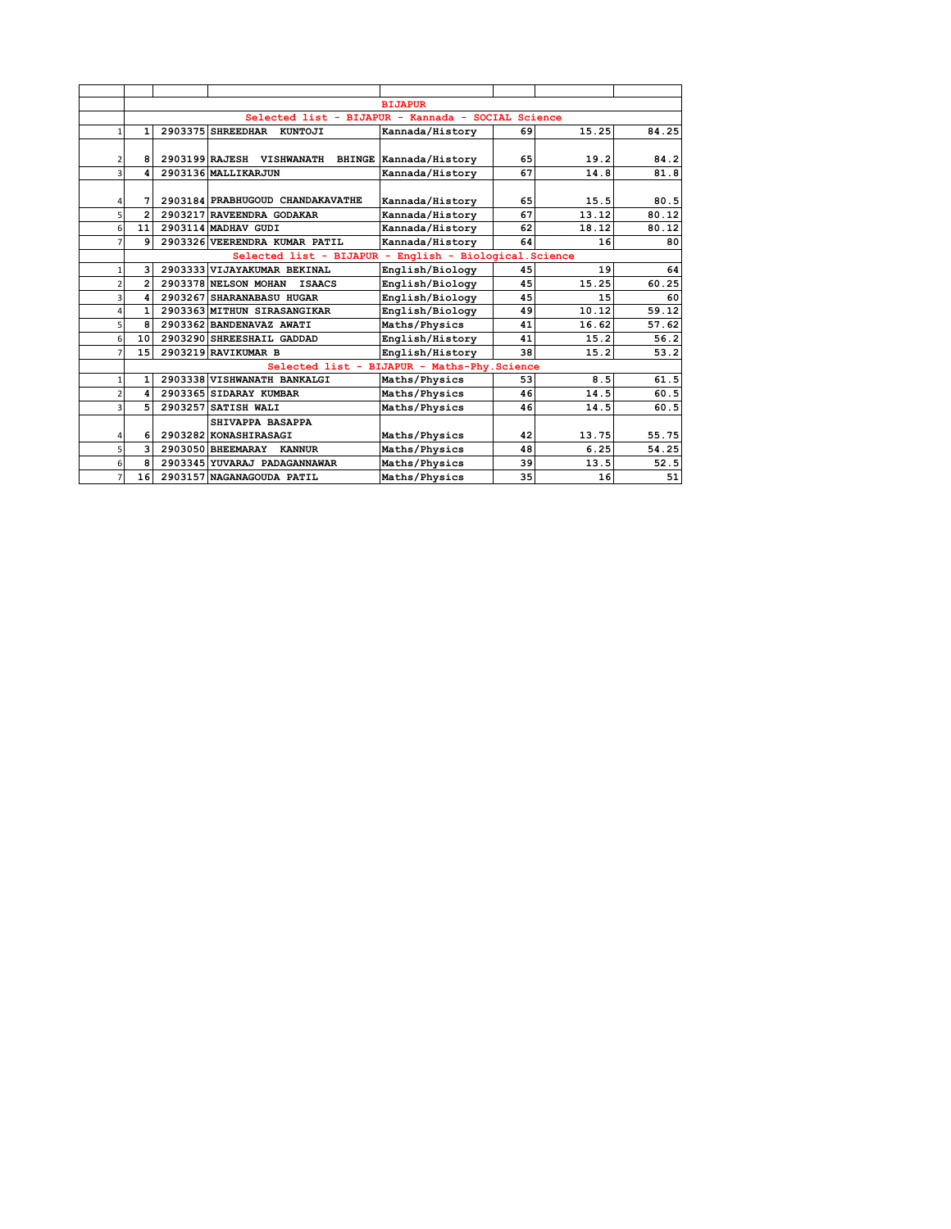|                |                | <b>BIJAPUR</b>                                     |                                                         |                                              |    |       |       |  |  |  |  |
|----------------|----------------|----------------------------------------------------|---------------------------------------------------------|----------------------------------------------|----|-------|-------|--|--|--|--|
|                |                | Selected list - BIJAPUR - Kannada - SOCIAL Science |                                                         |                                              |    |       |       |  |  |  |  |
|                | 1              |                                                    | 2903375 SHREEDHAR KUNTOJI                               | Kannada/History                              | 69 | 15.25 | 84.25 |  |  |  |  |
|                |                |                                                    |                                                         |                                              |    |       |       |  |  |  |  |
| 2              | 8              |                                                    | 2903199 RAJESH VISHWANATH BHINGE Kannada/History        |                                              | 65 | 19.2  | 84.2  |  |  |  |  |
|                |                |                                                    | 2903136 MALLIKARJUN                                     | Kannada/History                              | 67 | 14.8  | 81.8  |  |  |  |  |
|                |                |                                                    |                                                         |                                              |    |       |       |  |  |  |  |
| 4              | 7              |                                                    | 2903184 PRABHUGOUD CHANDAKAVATHE                        | Kannada/History                              | 65 | 15.5  | 80.5  |  |  |  |  |
| 5              | $\overline{2}$ |                                                    | 2903217 RAVEENDRA GODAKAR                               | Kannada/History                              | 67 | 13.12 | 80.12 |  |  |  |  |
| 6              | 11             |                                                    | 2903114 MADHAV GUDI                                     | Kannada/History                              | 62 | 18.12 | 80.12 |  |  |  |  |
| 7              | 9              |                                                    | 2903326 VEERENDRA KUMAR PATIL                           | Kannada/History                              | 64 | 16    | 80    |  |  |  |  |
|                |                |                                                    | Selected list - BIJAPUR - English - Biological. Science |                                              |    |       |       |  |  |  |  |
| 1              | 3              |                                                    | 2903333 VIJAYAKUMAR BEKINAL                             | English/Biology                              | 45 | 19    | 64    |  |  |  |  |
| $\overline{2}$ | $\overline{2}$ |                                                    | 2903378 NELSON MOHAN<br><b>ISAACS</b>                   | English/Biology                              | 45 | 15.25 | 60.25 |  |  |  |  |
| 3              | 4              |                                                    | 2903267 SHARANABASU HUGAR                               | English/Biology                              | 45 | 15    | 60    |  |  |  |  |
| 4              | $\mathbf{1}$   |                                                    | 2903363 MITHUN SIRASANGIKAR                             | English/Biology                              | 49 | 10.12 | 59.12 |  |  |  |  |
| 5              | 8              |                                                    | 2903362 BANDENAVAZ AWATI                                | Maths/Physics                                | 41 | 16.62 | 57.62 |  |  |  |  |
| 6              | 10             |                                                    | 2903290 SHREESHAIL GADDAD                               | English/History                              | 41 | 15.2  | 56.2  |  |  |  |  |
| 7              | 15             |                                                    | 2903219 RAVIKUMAR B                                     | English/History                              | 38 | 15.2  | 53.2  |  |  |  |  |
|                |                |                                                    |                                                         | Selected list - BIJAPUR - Maths-Phy. Science |    |       |       |  |  |  |  |
|                | 1              |                                                    | 2903338 VISHWANATH BANKALGI                             | Maths/Physics                                | 53 | 8.5   | 61.5  |  |  |  |  |
|                | 4              |                                                    | 2903365 SIDARAY KUMBAR                                  | Maths/Physics                                | 46 | 14.5  | 60.5  |  |  |  |  |
| 3              | 5              |                                                    | 2903257 SATISH WALI                                     | Maths/Physics                                | 46 | 14.5  | 60.5  |  |  |  |  |
|                |                |                                                    | SHIVAPPA BASAPPA                                        |                                              |    |       |       |  |  |  |  |
| 4              | 6              |                                                    | 2903282 KONASHIRASAGI                                   | Maths/Physics                                | 42 | 13.75 | 55.75 |  |  |  |  |
| 5              | 3              |                                                    | 2903050 BHEEMARAY<br><b>KANNUR</b>                      | Maths/Physics                                | 48 | 6.25  | 54.25 |  |  |  |  |
| 6              | 8              |                                                    | 2903345 YUVARAJ PADAGANNAWAR                            | Maths/Physics                                | 39 | 13.5  | 52.5  |  |  |  |  |
| 7              | 16             |                                                    | 2903157 NAGANAGOUDA PATIL                               | Maths/Physics                                | 35 | 16    | 51    |  |  |  |  |
|                |                |                                                    |                                                         |                                              |    |       |       |  |  |  |  |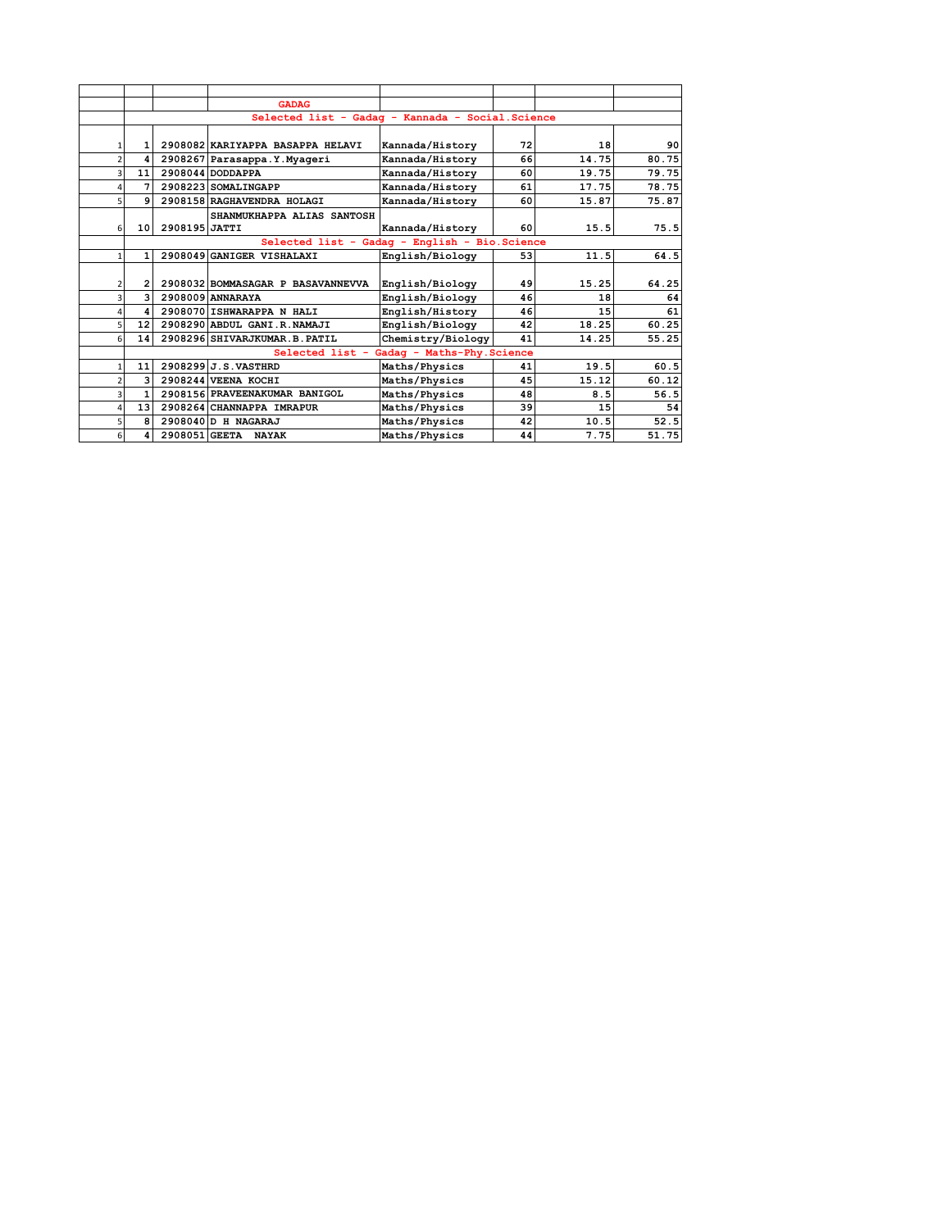|                |                 |               | <b>GADAG</b>                                      |                                            |    |       |       |
|----------------|-----------------|---------------|---------------------------------------------------|--------------------------------------------|----|-------|-------|
|                |                 |               | Selected list - Gadag - Kannada - Social. Science |                                            |    |       |       |
|                |                 |               |                                                   |                                            |    |       |       |
| 1              | 1               |               | 2908082 KARIYAPPA BASAPPA HELAVI                  | Kannada/History                            | 72 | 18    | 90    |
| $\overline{2}$ | 4               |               | 2908267 Parasappa.Y.Myageri                       | Kannada/History                            | 66 | 14.75 | 80.75 |
| 3              | 11              |               | 2908044 DODDAPPA                                  | Kannada/History                            | 60 | 19.75 | 79.75 |
| 4              | 7               |               | 2908223 SOMALINGAPP                               | Kannada/History                            | 61 | 17.75 | 78.75 |
| 5.             | q               |               | 2908158 RAGHAVENDRA HOLAGI                        | Kannada/History                            | 60 | 15.87 | 75.87 |
|                |                 |               | SHANMUKHAPPA ALIAS SANTOSH                        |                                            |    |       |       |
| 6              | 10 <sup>1</sup> | 2908195 JATTI |                                                   | Kannada/History                            | 60 | 15.5  | 75.5  |
|                |                 |               | Selected list - Gadag - English - Bio. Science    |                                            |    |       |       |
| 1              | 1               |               | 2908049 GANIGER VISHALAXI                         | English/Biology                            | 53 | 11.5  | 64.5  |
|                |                 |               |                                                   |                                            |    |       |       |
| 2              | $\overline{2}$  |               | 2908032 BOMMASAGAR P BASAVANNEVVA                 | English/Biology                            | 49 | 15.25 | 64.25 |
| 3              | 3               |               | 2908009 ANNARAYA                                  | English/Biology                            | 46 | 18    | 64    |
| 4              | 4               |               | 2908070 ISHWARAPPA N HALI                         | English/History                            | 46 | 15    | 61    |
| 5              | 12 <sub>1</sub> |               | 2908290 ABDUL GANI.R.NAMAJI                       | English/Biology                            | 42 | 18.25 | 60.25 |
| 6              | 14              |               | 2908296 SHIVARJKUMAR.B.PATIL                      | Chemistry/Biology                          | 41 | 14.25 | 55.25 |
|                |                 |               |                                                   | Selected list - Gadaq - Maths-Phy. Science |    |       |       |
| $\mathbf{1}$   | 11              |               | 2908299 J.S. VASTHRD                              | Maths/Physics                              | 41 | 19.5  | 60.5  |
| $\overline{2}$ | 3               |               | 2908244 VEENA KOCHI                               | Maths/Physics                              | 45 | 15.12 | 60.12 |
| 3              | 1               |               | 2908156 PRAVEENAKUMAR BANIGOL                     | Maths/Physics                              | 48 | 8.5   | 56.5  |
| 4              | 13 <sup>1</sup> |               | 2908264 CHANNAPPA IMRAPUR                         | Maths/Physics                              | 39 | 15    | 54    |
| 5              | 8               |               | 2908040 D H NAGARAJ                               | Maths/Physics                              | 42 | 10.5  | 52.5  |
| 6              | 4               |               | 2908051 GEETA NAYAK                               | Maths/Physics                              | 44 | 7.75  | 51.75 |
|                |                 |               |                                                   |                                            |    |       |       |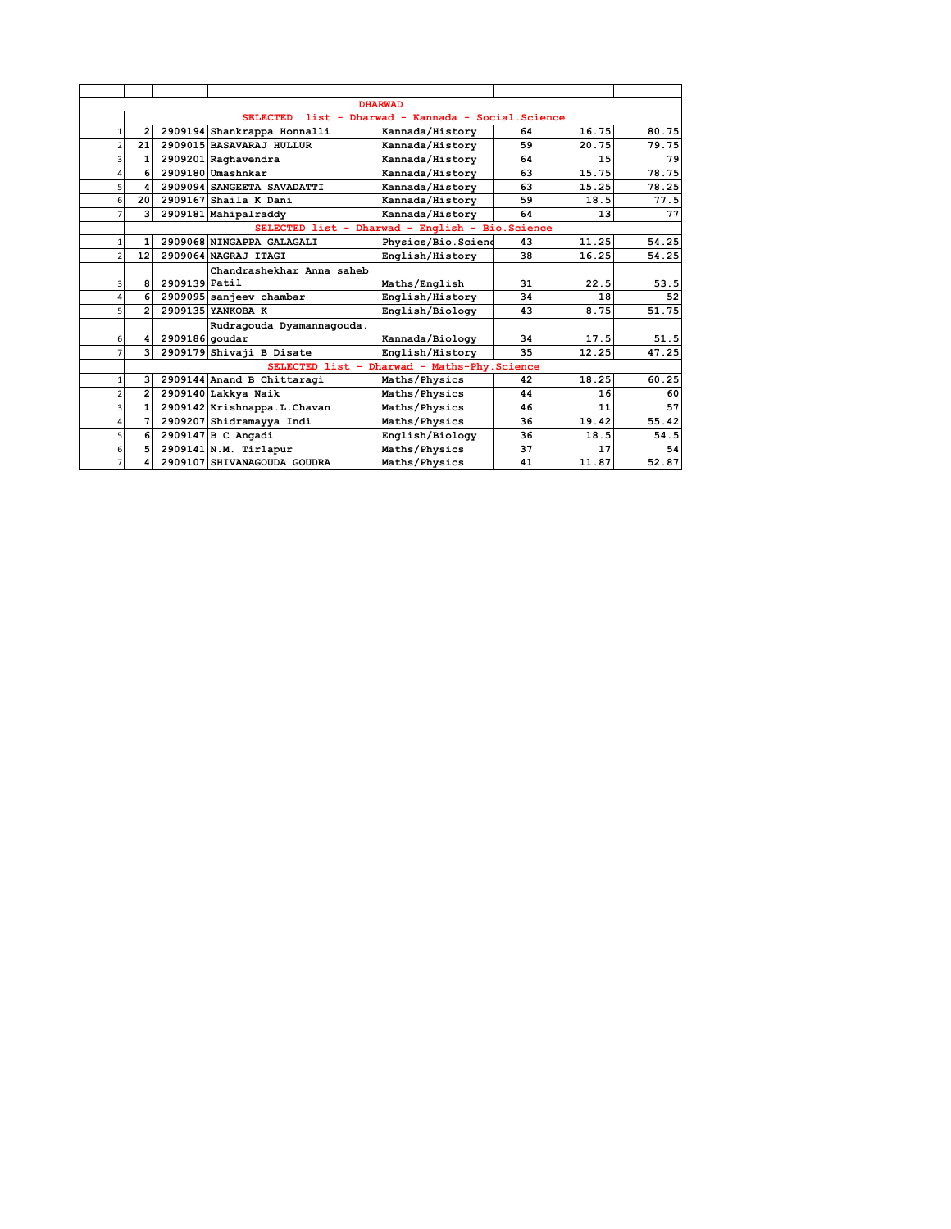|                              |                                                               |                                                  | <b>DHARWAD</b>                               |    |       |       |  |  |  |  |
|------------------------------|---------------------------------------------------------------|--------------------------------------------------|----------------------------------------------|----|-------|-------|--|--|--|--|
|                              | list - Dharwad - Kannada - Social. Science<br><b>SELECTED</b> |                                                  |                                              |    |       |       |  |  |  |  |
| 2<br>1                       |                                                               | 2909194 Shankrappa Honnalli                      | Kannada/History                              | 64 | 16.75 | 80.75 |  |  |  |  |
| 21<br>$\overline{2}$         |                                                               | 2909015 BASAVARAJ HULLUR                         | Kannada/History                              | 59 | 20.75 | 79.75 |  |  |  |  |
| 3<br>1                       |                                                               | 2909201 Raghavendra                              | Kannada/History                              | 64 | 15    | 79    |  |  |  |  |
| 6<br>4                       |                                                               | 2909180 Umashnkar                                | Kannada/History                              | 63 | 15.75 | 78.75 |  |  |  |  |
| 5<br>4                       |                                                               | 2909094 SANGEETA SAVADATTI                       | Kannada/History                              | 63 | 15.25 | 78.25 |  |  |  |  |
| 6<br>20                      |                                                               | $2909167$ Shaila K Dani                          | Kannada/History                              | 59 | 18.5  | 77.5  |  |  |  |  |
| $\overline{3}$<br>7          |                                                               | 2909181 Mahipalraddy                             | Kannada/History                              | 64 | 13    | 77    |  |  |  |  |
|                              |                                                               | SELECTED list - Dharwad - English - Bio. Science |                                              |    |       |       |  |  |  |  |
| 1<br>1                       |                                                               | 2909068 NINGAPPA GALAGALI                        | Physics/Bio.Sciend                           | 43 | 11.25 | 54.25 |  |  |  |  |
| $\overline{2}$<br>12         |                                                               | 2909064 NAGRAJ ITAGI                             | English/History                              | 38 | 16.25 | 54.25 |  |  |  |  |
|                              |                                                               | Chandrashekhar Anna saheb                        |                                              |    |       |       |  |  |  |  |
| 8<br>3                       | 2909139 Patil                                                 |                                                  | Maths/English                                | 31 | 22.5  | 53.5  |  |  |  |  |
| 6<br>4                       |                                                               | 2909095 sanjeev chambar                          | English/History                              | 34 | 18    | 52    |  |  |  |  |
| 5<br>$\overline{2}$          |                                                               | 2909135 YANKOBA K                                | English/Biology                              | 43 | 8.75  | 51.75 |  |  |  |  |
|                              |                                                               | Rudragouda Dyamannagouda.                        |                                              |    |       |       |  |  |  |  |
| 6<br>4                       | $2909186$ goudar                                              |                                                  | Kannada/Biology                              | 34 | 17.5  | 51.5  |  |  |  |  |
| 3<br>7                       |                                                               | 2909179 Shivaji B Disate                         | English/History                              | 35 | 12.25 | 47.25 |  |  |  |  |
|                              |                                                               |                                                  | SELECTED list - Dharwad - Maths-Phy. Science |    |       |       |  |  |  |  |
| $\overline{\mathbf{3}}$<br>1 |                                                               | 2909144 Anand B Chittaragi                       | Maths/Physics                                | 42 | 18.25 | 60.25 |  |  |  |  |
| $\overline{2}$<br>2          |                                                               | 2909140 Lakkya Naik                              | Maths/Physics                                | 44 | 16    | 60    |  |  |  |  |
| 1<br>3                       |                                                               | 2909142 Krishnappa.L.Chavan                      | Maths/Physics                                | 46 | 11    | 57    |  |  |  |  |
| 7<br>4                       |                                                               | 2909207 Shidramayya Indi                         | Maths/Physics                                | 36 | 19.42 | 55.42 |  |  |  |  |
| 5<br>6 I                     |                                                               | 2909147 B C Angadi                               | English/Biology                              | 36 | 18.5  | 54.5  |  |  |  |  |
| 5<br>6                       |                                                               | 2909141 N.M. Tirlapur                            | Maths/Physics                                | 37 | 17    | 54    |  |  |  |  |
| 7<br>4                       |                                                               | 2909107 SHIVANAGOUDA GOUDRA                      | Maths/Physics                                | 41 | 11.87 | 52.87 |  |  |  |  |
|                              |                                                               |                                                  |                                              |    |       |       |  |  |  |  |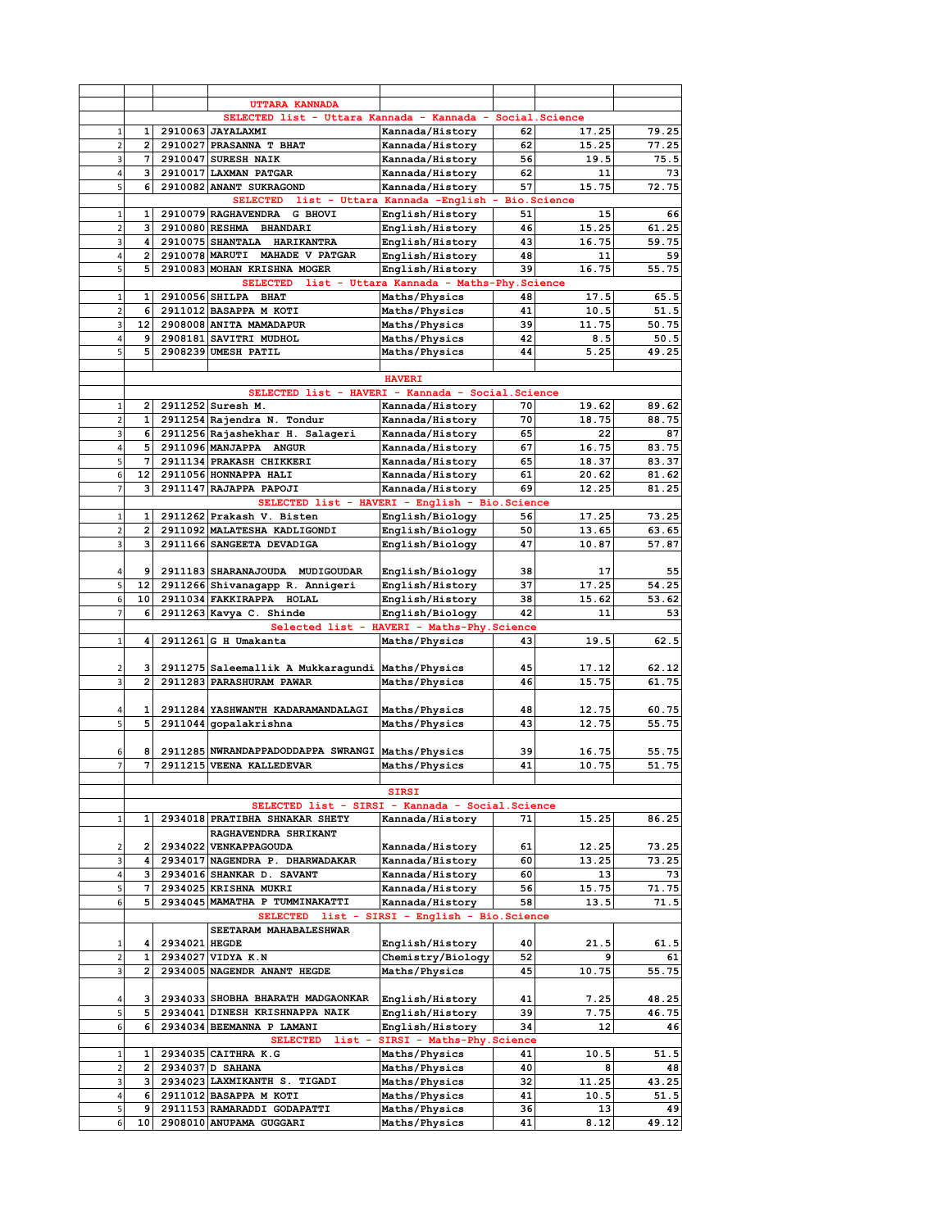|                         |                |               | UTTARA KANNADA                                             |                                             |    |                    |       |
|-------------------------|----------------|---------------|------------------------------------------------------------|---------------------------------------------|----|--------------------|-------|
|                         |                |               | SELECTED list - Uttara Kannada - Kannada - Social. Science |                                             |    |                    |       |
| 1                       | 1              |               | 2910063 JAYALAXMI                                          | Kannada/History                             | 62 | 17.25              | 79.25 |
| $\overline{2}$          | $\mathbf{2}$   |               | 2910027 PRASANNA T BHAT                                    | Kannada/History                             | 62 | 15.25              | 77.25 |
| 3                       | 7              |               | 2910047 SURESH NAIK                                        | Kannada/History                             | 56 | 19.5               | 75.5  |
| 4                       | з              |               | 2910017 LAXMAN PATGAR                                      | Kannada/History                             | 62 | 11                 | 73    |
| 5                       | 6              |               | 2910082 ANANT SUKRAGOND                                    | Kannada/History                             | 57 | 15.75              | 72.75 |
|                         |                |               | SELECTED list - Uttara Kannada -English -                  |                                             |    | <b>Bio.Science</b> |       |
|                         | 1              |               | 2910079 RAGHAVENDRA G BHOVI                                | English/History                             | 51 | 15                 | 66    |
| $\mathbf 1$             |                |               |                                                            |                                             |    |                    |       |
| $\overline{2}$          | 3              |               | 2910080 RESHMA BHANDARI                                    | English/History                             | 46 | 15.25              | 61.25 |
| 3                       | 4              |               | 2910075 SHANTALA HARIKANTRA                                | English/History                             | 43 | 16.75              | 59.75 |
| 4                       | $\overline{2}$ |               | 2910078 MARUTI MAHADE V PATGAR                             | English/History                             | 48 | 11                 | 59    |
| 5                       | 5              |               | 2910083 MOHAN KRISHNA MOGER                                | English/History                             | 39 | 16.75              | 55.75 |
|                         |                |               | SELECTED list - Uttara Kannada - Maths-Phy. Science        |                                             |    |                    |       |
| 1                       | 1              |               | 2910056 SHILPA BHAT                                        | Maths/Physics                               | 48 | 17.5               | 65.5  |
| $\overline{2}$          |                |               | 6 2911012 BASAPPA M KOTI                                   | Maths/Physics                               | 41 | 10.5               | 51.5  |
| 3                       |                |               | 12 2908008 ANITA MAMADAPUR                                 | Maths/Physics                               | 39 | 11.75              | 50.75 |
| 4                       | 91             |               | 2908181 SAVITRI MUDHOL                                     | Maths/Physics                               | 42 | 8.5                | 50.5  |
|                         |                |               |                                                            |                                             |    |                    |       |
| 5                       | 5              |               | 2908239 UMESH PATIL                                        | Maths/Physics                               | 44 | 5.25               | 49.25 |
|                         |                |               |                                                            |                                             |    |                    |       |
|                         |                |               |                                                            | <b>HAVERI</b>                               |    |                    |       |
|                         |                |               | SELECTED list - HAVERI - Kannada - Social. Science         |                                             |    |                    |       |
| $\mathbf 1$             | 2              |               | 2911252 Suresh M.                                          | Kannada/History                             | 70 | 19.62              | 89.62 |
| $\overline{\mathbf{c}}$ | 1              |               | 2911254 Rajendra N. Tondur                                 | Kannada/History                             | 70 | 18.75              | 88.75 |
| 3                       | 6              |               | 2911256 Rajashekhar H. Salageri                            | Kannada/History                             | 65 | 22                 | 87    |
| 4                       | 5              |               | 2911096 MANJAPPA ANGUR                                     | Kannada/History                             | 67 | 16.75              | 83.75 |
| 5                       | 7              |               | 2911134 PRAKASH CHIKKERI                                   | Kannada/History                             | 65 | 18.37              | 83.37 |
|                         |                |               |                                                            |                                             |    |                    |       |
| 6                       | 12             |               | 2911056 HONNAPPA HALI                                      | Kannada/History                             | 61 | 20.62              | 81.62 |
| $\overline{7}$          | з              |               | 2911147 RAJAPPA PAPOJI                                     | Kannada/History                             | 69 | 12.25              | 81.25 |
|                         |                |               | SELECTED list - HAVERI - English - Bio. Science            |                                             |    |                    |       |
| $\mathbf 1$             | 1              |               | 2911262 Prakash V. Bisten                                  | English/Biology                             | 56 | 17.25              | 73.25 |
| $\overline{\mathbf{c}}$ | $\overline{2}$ |               | 2911092 MALATESHA KADLIGONDI                               | English/Biology                             | 50 | 13.65              | 63.65 |
| 3                       | 3              |               | 2911166 SANGEETA DEVADIGA                                  | English/Biology                             | 47 | 10.87              | 57.87 |
|                         |                |               |                                                            |                                             |    |                    |       |
| 4                       | 9              |               | 2911183 SHARANAJOUDA MUDIGOUDAR                            | English/Biology                             | 38 | 17                 | 55    |
|                         |                |               |                                                            |                                             |    |                    |       |
| 5                       | 12             |               | 2911266 Shivanagapp R. Annigeri                            | English/History                             | 37 | 17.25              | 54.25 |
| 6                       | 10             |               | 2911034 FAKKIRAPPA HOLAL                                   | English/History                             | 38 | 15.62              | 53.62 |
| $\overline{7}$          | 6              |               | 2911263 Kavya C. Shinde                                    | English/Biology                             | 42 | 11                 | 53    |
|                         |                |               |                                                            | Selected list - HAVERI - Maths-Phy. Science |    |                    |       |
| $\mathbf 1$             | 4              |               | 2911261 G H Umakanta                                       | Maths/Physics                               | 43 | 19.5               | 62.5  |
|                         |                |               |                                                            |                                             |    |                    |       |
| 2                       | з              |               | 2911275 Saleemallik A Mukkaragundi Maths/Physics           |                                             | 45 | 17.12              | 62.12 |
| 3                       | $\overline{2}$ |               | 2911283 PARASHURAM PAWAR                                   | Maths/Physics                               | 46 | 15.75              | 61.75 |
|                         |                |               |                                                            |                                             |    |                    |       |
|                         |                |               |                                                            |                                             |    |                    |       |
| 4                       | 1              |               | 2911284 YASHWANTH KADARAMANDALAGI                          | Maths/Physics                               | 48 | 12.75              | 60.75 |
| 5                       | 5              |               | 2911044 gopalakrishna                                      | Maths/Physics                               | 43 | 12.75              | 55.75 |
|                         |                |               |                                                            |                                             |    |                    |       |
| 6                       | 8              |               | 2911285 NWRANDAPPADODDAPPA SWRANGI Maths/Physics           |                                             | 39 | 16.75              | 55.75 |
| 7                       | 7              |               | 2911215 VEENA KALLEDEVAR                                   | Maths/Physics                               | 41 | 10.75              | 51.75 |
|                         |                |               |                                                            |                                             |    |                    |       |
|                         |                |               |                                                            | <b>SIRSI</b>                                |    |                    |       |
|                         |                |               | SELECTED list - SIRSI - Kannada - Social. Science          |                                             |    |                    |       |
|                         |                |               | 2934018 PRATIBHA SHNAKAR SHETY                             |                                             |    |                    |       |
| $\mathbf 1$             | 1              |               |                                                            | Kannada/History                             | 71 | 15.25              | 86.25 |
|                         |                |               | RAGHAVENDRA SHRIKANT                                       |                                             |    |                    |       |
| 2                       | 2              |               | 2934022 VENKAPPAGOUDA                                      | Kannada/History                             | 61 | 12.25              | 73.25 |
| 3                       | 4              |               | 2934017 NAGENDRA P. DHARWADAKAR                            | Kannada/History                             | 60 | 13.25              | 73.25 |
| 4                       | з              |               | 2934016 SHANKAR D. SAVANT                                  | Kannada/History                             | 60 | 13                 | 73    |
| 5                       | 7              |               | 2934025 KRISHNA MUKRI                                      | Kannada/History                             | 56 | 15.75              | 71.75 |
| 6                       | 5              |               | 2934045 MAMATHA P TUMMINAKATTI                             | Kannada/History                             | 58 | 13.5               | 71.5  |
|                         |                |               | SELECTED list - SIRSI - English - Bio. Science             |                                             |    |                    |       |
|                         |                |               | SEETARAM MAHABALESHWAR                                     |                                             |    |                    |       |
| 1                       | 4              | 2934021 HEGDE |                                                            | English/History                             | 40 | 21.5               |       |
|                         |                |               |                                                            |                                             |    |                    | 61.5  |
| 2                       | 1              |               | 2934027 VIDYA K.N                                          | Chemistry/Biology                           | 52 | 9                  | 61    |
| 3                       | 2              |               | 2934005 NAGENDR ANANT HEGDE                                | Maths/Physics                               | 45 | 10.75              | 55.75 |
|                         |                |               |                                                            |                                             |    |                    |       |
| 4                       | 3              |               | 2934033 SHOBHA BHARATH MADGAONKAR                          | English/History                             | 41 | 7.25               | 48.25 |
| 5                       | 5              |               | 2934041 DINESH KRISHNAPPA NAIK                             | English/History                             | 39 | 7.75               | 46.75 |
| 6                       | 61             |               | 2934034 BEEMANNA P LAMANI                                  | English/History                             | 34 | 12                 | 46    |
|                         |                |               | <b>SELECTED</b><br>$list -$                                | SIRSI - Maths-Phy. Science                  |    |                    |       |
| $\mathbf 1$             | 1              |               | 2934035 CAITHRA K.G                                        | Maths/Physics                               | 41 | 10.5               | 51.5  |
|                         |                |               |                                                            |                                             |    |                    |       |
| $\overline{2}$          | 2              |               | 2934037 D SAHANA                                           | Maths/Physics                               | 40 | 8                  | 48    |
| 3                       | з              |               | 2934023 LAXMIKANTH S. TIGADI                               | Maths/Physics                               | 32 | 11.25              | 43.25 |
| 4                       | 6              |               | 2911012 BASAPPA M KOTI                                     | Maths/Physics                               | 41 | 10.5               | 51.5  |
| 5                       | 9              |               | 2911153 RAMARADDI GODAPATTI                                | Maths/Physics                               | 36 | 13                 | 49    |
| 6                       | 10             |               | 2908010 ANUPAMA GUGGARI                                    | Maths/Physics                               | 41 | 8.12               | 49.12 |
|                         |                |               |                                                            |                                             |    |                    |       |